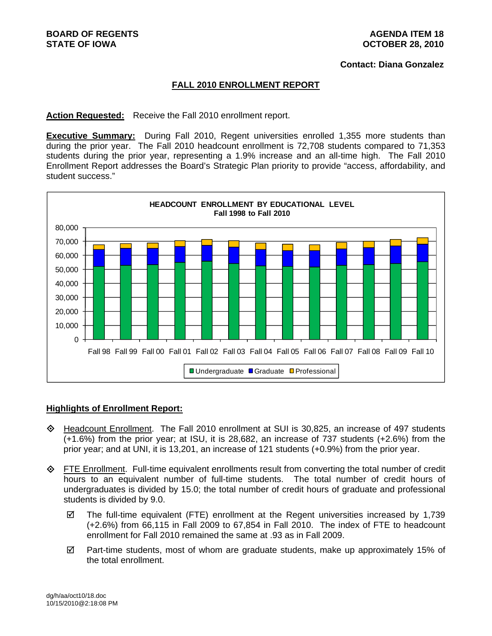#### **Contact: Diana Gonzalez**

### **FALL 2010 ENROLLMENT REPORT**

**Action Requested:** Receive the Fall 2010 enrollment report.

**Executive Summary:** During Fall 2010, Regent universities enrolled 1,355 more students than during the prior year. The Fall 2010 headcount enrollment is 72,708 students compared to 71,353 students during the prior year, representing a 1.9% increase and an all-time high. The Fall 2010 Enrollment Report addresses the Board's Strategic Plan priority to provide "access, affordability, and student success."



### **Highlights of Enrollment Report:**

- Headcount Enrollment. The Fall 2010 enrollment at SUI is 30,825, an increase of 497 students (+1.6%) from the prior year; at ISU, it is 28,682, an increase of 737 students (+2.6%) from the prior year; and at UNI, it is 13,201, an increase of 121 students (+0.9%) from the prior year.
- $\diamond$  FTE Enrollment. Full-time equivalent enrollments result from converting the total number of credit hours to an equivalent number of full-time students. The total number of credit hours of undergraduates is divided by 15.0; the total number of credit hours of graduate and professional students is divided by 9.0.
	- $\boxtimes$  The full-time equivalent (FTE) enrollment at the Regent universities increased by 1,739 (+2.6%) from 66,115 in Fall 2009 to 67,854 in Fall 2010. The index of FTE to headcount enrollment for Fall 2010 remained the same at .93 as in Fall 2009.
	- $\boxtimes$  Part-time students, most of whom are graduate students, make up approximately 15% of the total enrollment.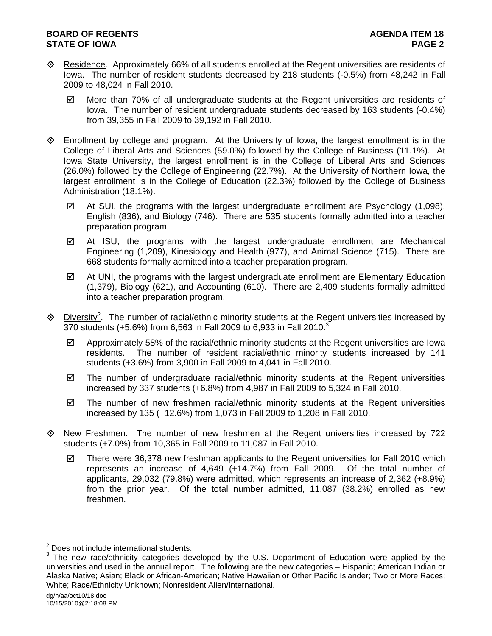## **BOARD OF REGENTS AGENUS AGENDA ITEM 18 STATE OF IOWA** PAGE 2

- Residence. Approximately 66% of all students enrolled at the Regent universities are residents of Iowa. The number of resident students decreased by 218 students (-0.5%) from 48,242 in Fall 2009 to 48,024 in Fall 2010.
	- $\boxtimes$  More than 70% of all undergraduate students at the Regent universities are residents of Iowa. The number of resident undergraduate students decreased by 163 students (-0.4%) from 39,355 in Fall 2009 to 39,192 in Fall 2010.
- $\Diamond$  Enrollment by college and program. At the University of Iowa, the largest enrollment is in the College of Liberal Arts and Sciences (59.0%) followed by the College of Business (11.1%). At Iowa State University, the largest enrollment is in the College of Liberal Arts and Sciences (26.0%) followed by the College of Engineering (22.7%). At the University of Northern Iowa, the largest enrollment is in the College of Education (22.3%) followed by the College of Business Administration (18.1%).
	- $\boxtimes$  At SUI, the programs with the largest undergraduate enrollment are Psychology (1,098), English (836), and Biology (746). There are 535 students formally admitted into a teacher preparation program.
	- $\boxtimes$  At ISU, the programs with the largest undergraduate enrollment are Mechanical Engineering (1,209), Kinesiology and Health (977), and Animal Science (715). There are 668 students formally admitted into a teacher preparation program.
	- $\boxtimes$  At UNI, the programs with the largest undergraduate enrollment are Elementary Education (1,379), Biology (621), and Accounting (610). There are 2,409 students formally admitted into a teacher preparation program.
- $\Diamond$  Diversity<sup>2</sup>. The number of racial/ethnic minority students at the Regent universities increased by 370 students (+5.6%) from 6,563 in Fall 2009 to 6,933 in Fall 2010.<sup>3</sup>
	- $\boxtimes$  Approximately 58% of the racial/ethnic minority students at the Regent universities are lowa residents. The number of resident racial/ethnic minority students increased by 141 students (+3.6%) from 3,900 in Fall 2009 to 4,041 in Fall 2010.
	- $\boxtimes$  The number of undergraduate racial/ethnic minority students at the Regent universities increased by 337 students (+6.8%) from 4,987 in Fall 2009 to 5,324 in Fall 2010.
	- $\boxtimes$  The number of new freshmen racial/ethnic minority students at the Regent universities increased by 135 (+12.6%) from 1,073 in Fall 2009 to 1,208 in Fall 2010.
- $\Diamond$  New Freshmen. The number of new freshmen at the Regent universities increased by 722 students (+7.0%) from 10,365 in Fall 2009 to 11,087 in Fall 2010.
	- $\boxtimes$  There were 36,378 new freshman applicants to the Regent universities for Fall 2010 which represents an increase of 4,649 (+14.7%) from Fall 2009. Of the total number of applicants, 29,032 (79.8%) were admitted, which represents an increase of 2,362 (+8.9%) from the prior year. Of the total number admitted, 11,087 (38.2%) enrolled as new freshmen.

 2 Does not include international students.

 $3$  The new race/ethnicity categories developed by the U.S. Department of Education were applied by the universities and used in the annual report. The following are the new categories – Hispanic; American Indian or Alaska Native; Asian; Black or African-American; Native Hawaiian or Other Pacific Islander; Two or More Races; White; Race/Ethnicity Unknown; Nonresident Alien/International.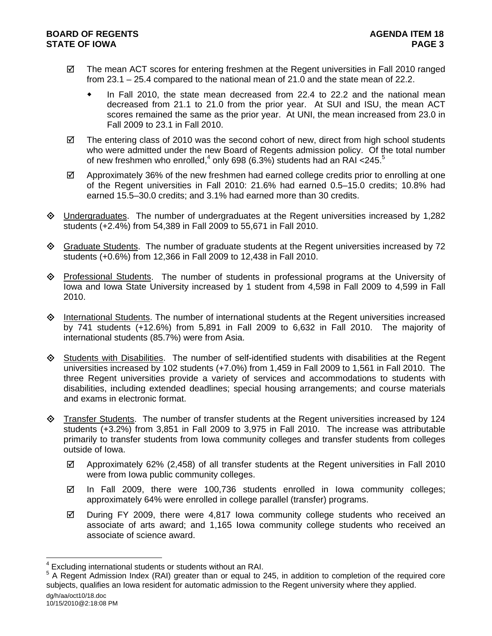- $\boxtimes$  The mean ACT scores for entering freshmen at the Regent universities in Fall 2010 ranged from 23.1 – 25.4 compared to the national mean of 21.0 and the state mean of 22.2.
	- In Fall 2010, the state mean decreased from 22.4 to 22.2 and the national mean decreased from 21.1 to 21.0 from the prior year. At SUI and ISU, the mean ACT scores remained the same as the prior year. At UNI, the mean increased from 23.0 in Fall 2009 to 23.1 in Fall 2010.
- $\boxtimes$  The entering class of 2010 was the second cohort of new, direct from high school students who were admitted under the new Board of Regents admission policy. Of the total number of new freshmen who enrolled,<sup>4</sup> only 698 (6.3%) students had an RAI <245.<sup>5</sup>
- $\boxtimes$  Approximately 36% of the new freshmen had earned college credits prior to enrolling at one of the Regent universities in Fall 2010: 21.6% had earned 0.5–15.0 credits; 10.8% had earned 15.5–30.0 credits; and 3.1% had earned more than 30 credits.
- Undergraduates. The number of undergraduates at the Regent universities increased by 1,282 students (+2.4%) from 54,389 in Fall 2009 to 55,671 in Fall 2010.
- $\Diamond$  Graduate Students. The number of graduate students at the Regent universities increased by 72 students (+0.6%) from 12,366 in Fall 2009 to 12,438 in Fall 2010.
- $\Diamond$  Professional Students. The number of students in professional programs at the University of Iowa and Iowa State University increased by 1 student from 4,598 in Fall 2009 to 4,599 in Fall 2010.
- $\Diamond$  International Students. The number of international students at the Regent universities increased by 741 students (+12.6%) from 5,891 in Fall 2009 to 6,632 in Fall 2010. The majority of international students (85.7%) were from Asia.
- $\diamondsuit$  Students with Disabilities. The number of self-identified students with disabilities at the Regent universities increased by 102 students (+7.0%) from 1,459 in Fall 2009 to 1,561 in Fall 2010. The three Regent universities provide a variety of services and accommodations to students with disabilities, including extended deadlines; special housing arrangements; and course materials and exams in electronic format.
- Transfer Students. The number of transfer students at the Regent universities increased by 124 students (+3.2%) from 3,851 in Fall 2009 to 3,975 in Fall 2010. The increase was attributable primarily to transfer students from Iowa community colleges and transfer students from colleges outside of Iowa.
	- $\boxtimes$  Approximately 62% (2,458) of all transfer students at the Regent universities in Fall 2010 were from Iowa public community colleges.
	- $\boxtimes$  In Fall 2009, there were 100,736 students enrolled in Iowa community colleges; approximately 64% were enrolled in college parallel (transfer) programs.
	- $\boxtimes$  During FY 2009, there were 4,817 lowa community college students who received an associate of arts award; and 1,165 Iowa community college students who received an associate of science award.

l

<sup>4</sup> Excluding international students or students without an RAI.

<sup>&</sup>lt;sup>5</sup> A Regent Admission Index (RAI) greater than or equal to 245, in addition to completion of the required core subjects, qualifies an Iowa resident for automatic admission to the Regent university where they applied.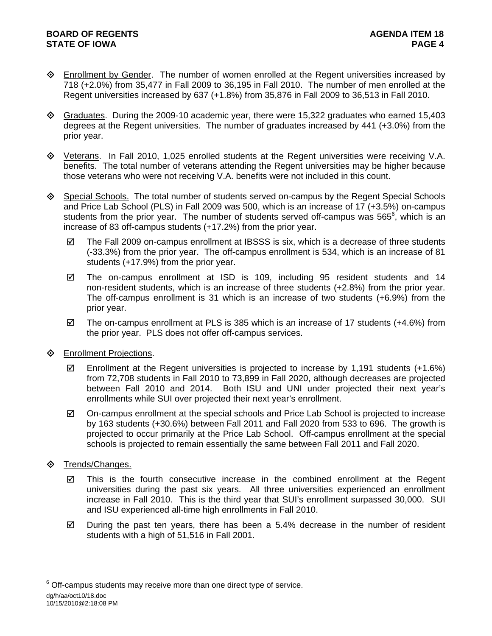- **Enrollment by Gender.** The number of women enrolled at the Regent universities increased by 718 (+2.0%) from 35,477 in Fall 2009 to 36,195 in Fall 2010. The number of men enrolled at the Regent universities increased by 637 (+1.8%) from 35,876 in Fall 2009 to 36,513 in Fall 2010.
- Graduates. During the 2009-10 academic year, there were 15,322 graduates who earned 15,403 degrees at the Regent universities. The number of graduates increased by 441 (+3.0%) from the prior year.
- Veterans. In Fall 2010, 1,025 enrolled students at the Regent universities were receiving V.A. benefits. The total number of veterans attending the Regent universities may be higher because those veterans who were not receiving V.A. benefits were not included in this count.
- Special Schools. The total number of students served on-campus by the Regent Special Schools and Price Lab School (PLS) in Fall 2009 was 500, which is an increase of 17 (+3.5%) on-campus students from the prior year. The number of students served off-campus was 565 $^6$ , which is an increase of 83 off-campus students (+17.2%) from the prior year.
	- $\boxtimes$  The Fall 2009 on-campus enrollment at IBSSS is six, which is a decrease of three students (-33.3%) from the prior year. The off-campus enrollment is 534, which is an increase of 81 students (+17.9%) from the prior year.
	- $\boxtimes$  The on-campus enrollment at ISD is 109, including 95 resident students and 14 non-resident students, which is an increase of three students (+2.8%) from the prior year. The off-campus enrollment is 31 which is an increase of two students (+6.9%) from the prior year.
	- $\boxtimes$  The on-campus enrollment at PLS is 385 which is an increase of 17 students (+4.6%) from the prior year. PLS does not offer off-campus services.
- **♦** Enrollment Projections.
	- Enrollment at the Regent universities is projected to increase by 1,191 students  $(+1.6\%)$ from 72,708 students in Fall 2010 to 73,899 in Fall 2020, although decreases are projected between Fall 2010 and 2014. Both ISU and UNI under projected their next year's enrollments while SUI over projected their next year's enrollment.
	- $\boxtimes$  On-campus enrollment at the special schools and Price Lab School is projected to increase by 163 students (+30.6%) between Fall 2011 and Fall 2020 from 533 to 696. The growth is projected to occur primarily at the Price Lab School. Off-campus enrollment at the special schools is projected to remain essentially the same between Fall 2011 and Fall 2020.
- **♦ Trends/Changes.** 
	- $\boxtimes$  This is the fourth consecutive increase in the combined enrollment at the Regent universities during the past six years. All three universities experienced an enrollment increase in Fall 2010. This is the third year that SUI's enrollment surpassed 30,000. SUI and ISU experienced all-time high enrollments in Fall 2010.
	- $\boxtimes$  During the past ten years, there has been a 5.4% decrease in the number of resident students with a high of 51,516 in Fall 2001.

dg/h/aa/oct10/18.doc 10/15/2010@2:18:08 PM l  $6$  Off-campus students may receive more than one direct type of service.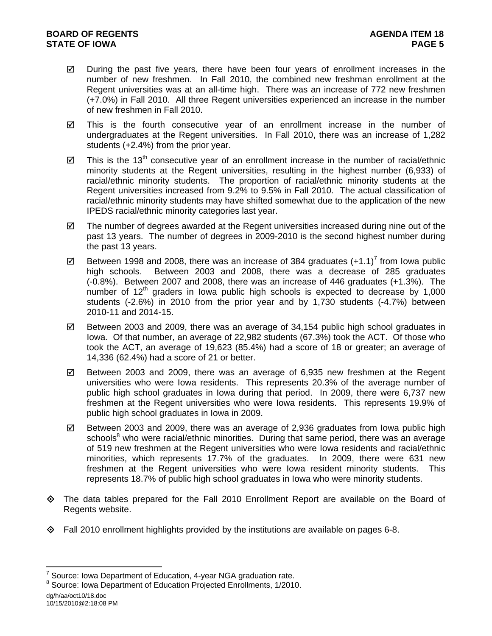- $\boxtimes$  During the past five years, there have been four years of enrollment increases in the number of new freshmen. In Fall 2010, the combined new freshman enrollment at the Regent universities was at an all-time high. There was an increase of 772 new freshmen (+7.0%) in Fall 2010. All three Regent universities experienced an increase in the number of new freshmen in Fall 2010.
- $\boxtimes$  This is the fourth consecutive year of an enrollment increase in the number of undergraduates at the Regent universities. In Fall 2010, there was an increase of 1,282 students (+2.4%) from the prior year.
- $\boxtimes$  This is the 13<sup>th</sup> consecutive year of an enrollment increase in the number of racial/ethnic minority students at the Regent universities, resulting in the highest number (6,933) of racial/ethnic minority students. The proportion of racial/ethnic minority students at the Regent universities increased from 9.2% to 9.5% in Fall 2010. The actual classification of racial/ethnic minority students may have shifted somewhat due to the application of the new IPEDS racial/ethnic minority categories last year.
- $\boxtimes$  The number of degrees awarded at the Regent universities increased during nine out of the past 13 years. The number of degrees in 2009-2010 is the second highest number during the past 13 years.
- $\boxtimes$  Between 1998 and 2008, there was an increase of 384 graduates (+1.1)<sup>7</sup> from lowa public high schools. Between 2003 and 2008, there was a decrease of 285 graduates (-0.8%). Between 2007 and 2008, there was an increase of 446 graduates (+1.3%). The number of  $12<sup>th</sup>$  graders in Iowa public high schools is expected to decrease by 1,000 students (-2.6%) in 2010 from the prior year and by 1,730 students (-4.7%) between 2010-11 and 2014-15.
- $\boxtimes$  Between 2003 and 2009, there was an average of 34,154 public high school graduates in Iowa. Of that number, an average of 22,982 students (67.3%) took the ACT. Of those who took the ACT, an average of 19,623 (85.4%) had a score of 18 or greater; an average of 14,336 (62.4%) had a score of 21 or better.
- $\boxtimes$  Between 2003 and 2009, there was an average of 6,935 new freshmen at the Regent universities who were Iowa residents. This represents 20.3% of the average number of public high school graduates in Iowa during that period. In 2009, there were 6,737 new freshmen at the Regent universities who were Iowa residents. This represents 19.9% of public high school graduates in Iowa in 2009.
- $\boxtimes$  Between 2003 and 2009, there was an average of 2,936 graduates from lowa public high schools<sup>8</sup> who were racial/ethnic minorities. During that same period, there was an average of 519 new freshmen at the Regent universities who were Iowa residents and racial/ethnic minorities, which represents 17.7% of the graduates. In 2009, there were 631 new freshmen at the Regent universities who were Iowa resident minority students. This represents 18.7% of public high school graduates in Iowa who were minority students.
- The data tables prepared for the Fall 2010 Enrollment Report are available on the Board of Regents website.
- Fall 2010 enrollment highlights provided by the institutions are available on pages 6-8.

dg/h/aa/oct10/18.doc 10/15/2010@2:18:08 PM

l

<sup>7</sup> Source: Iowa Department of Education, 4-year NGA graduation rate.

<sup>&</sup>lt;sup>8</sup> Source: Iowa Department of Education Projected Enrollments, 1/2010.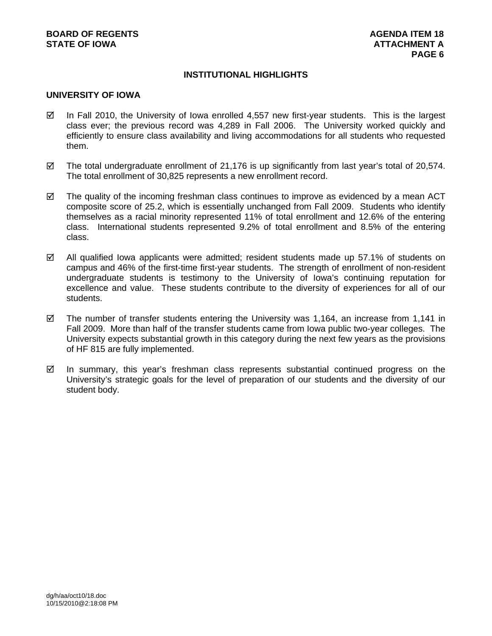# **INSTITUTIONAL HIGHLIGHTS**

### **UNIVERSITY OF IOWA**

- $\boxtimes$  In Fall 2010, the University of Iowa enrolled 4,557 new first-year students. This is the largest class ever; the previous record was 4,289 in Fall 2006. The University worked quickly and efficiently to ensure class availability and living accommodations for all students who requested them.
- $\boxtimes$  The total undergraduate enrollment of 21,176 is up significantly from last year's total of 20,574. The total enrollment of 30,825 represents a new enrollment record.
- $\boxtimes$  The quality of the incoming freshman class continues to improve as evidenced by a mean ACT composite score of 25.2, which is essentially unchanged from Fall 2009. Students who identify themselves as a racial minority represented 11% of total enrollment and 12.6% of the entering class. International students represented 9.2% of total enrollment and 8.5% of the entering class.
- $\boxtimes$  All qualified Iowa applicants were admitted; resident students made up 57.1% of students on campus and 46% of the first-time first-year students. The strength of enrollment of non-resident undergraduate students is testimony to the University of Iowa's continuing reputation for excellence and value. These students contribute to the diversity of experiences for all of our students.
- $\boxtimes$  The number of transfer students entering the University was 1,164, an increase from 1,141 in Fall 2009. More than half of the transfer students came from Iowa public two-year colleges. The University expects substantial growth in this category during the next few years as the provisions of HF 815 are fully implemented.
- $\boxtimes$  In summary, this year's freshman class represents substantial continued progress on the University's strategic goals for the level of preparation of our students and the diversity of our student body.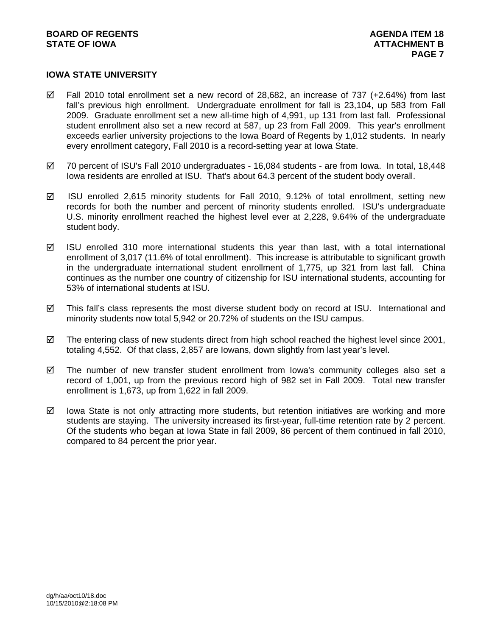# **IOWA STATE UNIVERSITY**

- $\boxtimes$  Fall 2010 total enrollment set a new record of 28.682, an increase of 737 (+2.64%) from last fall's previous high enrollment. Undergraduate enrollment for fall is 23,104, up 583 from Fall 2009. Graduate enrollment set a new all-time high of 4,991, up 131 from last fall. Professional student enrollment also set a new record at 587, up 23 from Fall 2009. This year's enrollment exceeds earlier university projections to the Iowa Board of Regents by 1,012 students. In nearly every enrollment category, Fall 2010 is a record-setting year at Iowa State.
- $\boxtimes$  70 percent of ISU's Fall 2010 undergraduates 16,084 students are from lowa. In total, 18,448 Iowa residents are enrolled at ISU. That's about 64.3 percent of the student body overall.
- $\boxtimes$  ISU enrolled 2,615 minority students for Fall 2010, 9.12% of total enrollment, setting new records for both the number and percent of minority students enrolled. ISU's undergraduate U.S. minority enrollment reached the highest level ever at 2,228, 9.64% of the undergraduate student body.
- $\boxtimes$  ISU enrolled 310 more international students this year than last, with a total international enrollment of 3,017 (11.6% of total enrollment). This increase is attributable to significant growth in the undergraduate international student enrollment of 1,775, up 321 from last fall. China continues as the number one country of citizenship for ISU international students, accounting for 53% of international students at ISU.
- $\boxtimes$  This fall's class represents the most diverse student body on record at ISU. International and minority students now total 5,942 or 20.72% of students on the ISU campus.
- $\boxtimes$  The entering class of new students direct from high school reached the highest level since 2001, totaling 4,552. Of that class, 2,857 are Iowans, down slightly from last year's level.
- $\boxtimes$  The number of new transfer student enrollment from lowa's community colleges also set a record of 1,001, up from the previous record high of 982 set in Fall 2009. Total new transfer enrollment is 1,673, up from 1,622 in fall 2009.
- $\boxtimes$  lowa State is not only attracting more students, but retention initiatives are working and more students are staying. The university increased its first-year, full-time retention rate by 2 percent. Of the students who began at Iowa State in fall 2009, 86 percent of them continued in fall 2010, compared to 84 percent the prior year.